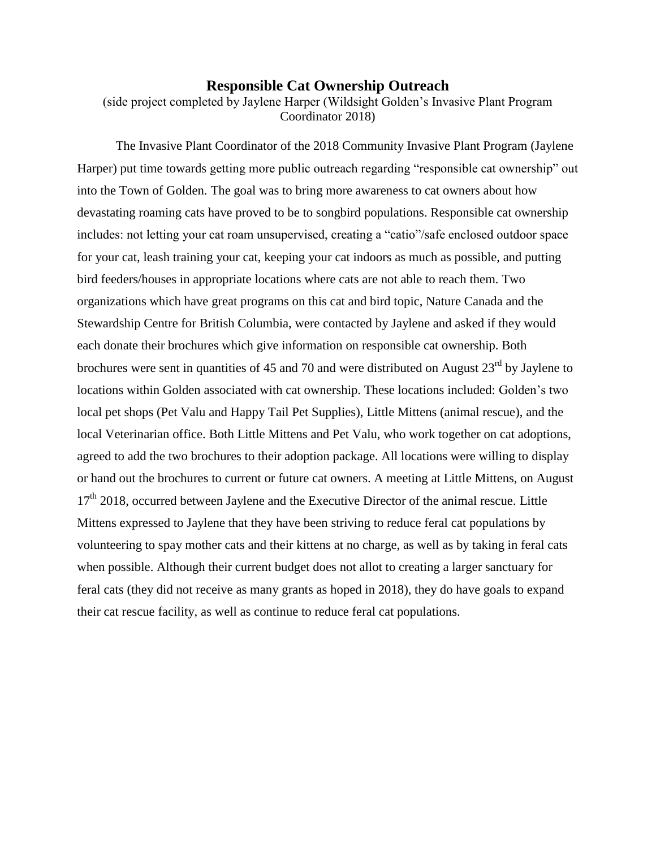## **Responsible Cat Ownership Outreach**

(side project completed by Jaylene Harper (Wildsight Golden's Invasive Plant Program Coordinator 2018)

The Invasive Plant Coordinator of the 2018 Community Invasive Plant Program (Jaylene Harper) put time towards getting more public outreach regarding "responsible cat ownership" out into the Town of Golden. The goal was to bring more awareness to cat owners about how devastating roaming cats have proved to be to songbird populations. Responsible cat ownership includes: not letting your cat roam unsupervised, creating a "catio"/safe enclosed outdoor space for your cat, leash training your cat, keeping your cat indoors as much as possible, and putting bird feeders/houses in appropriate locations where cats are not able to reach them. Two organizations which have great programs on this cat and bird topic, Nature Canada and the Stewardship Centre for British Columbia, were contacted by Jaylene and asked if they would each donate their brochures which give information on responsible cat ownership. Both brochures were sent in quantities of 45 and 70 and were distributed on August  $23<sup>rd</sup>$  by Jaylene to locations within Golden associated with cat ownership. These locations included: Golden's two local pet shops (Pet Valu and Happy Tail Pet Supplies), Little Mittens (animal rescue), and the local Veterinarian office. Both Little Mittens and Pet Valu, who work together on cat adoptions, agreed to add the two brochures to their adoption package. All locations were willing to display or hand out the brochures to current or future cat owners. A meeting at Little Mittens, on August 17<sup>th</sup> 2018, occurred between Jaylene and the Executive Director of the animal rescue. Little Mittens expressed to Jaylene that they have been striving to reduce feral cat populations by volunteering to spay mother cats and their kittens at no charge, as well as by taking in feral cats when possible. Although their current budget does not allot to creating a larger sanctuary for feral cats (they did not receive as many grants as hoped in 2018), they do have goals to expand their cat rescue facility, as well as continue to reduce feral cat populations.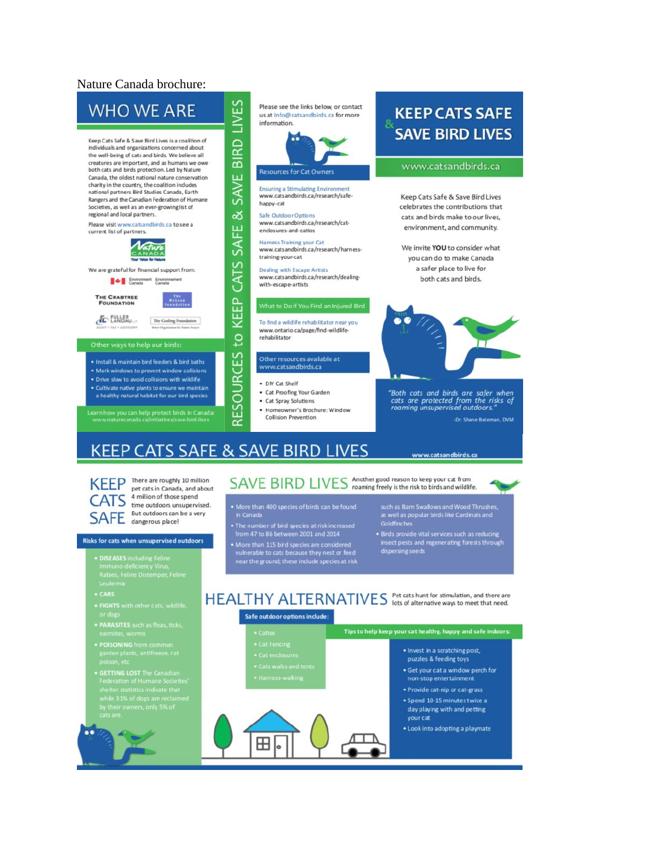### Nature Canada brochure:



- 
- **ONING** from common<br>en plants, antifreeze, rat
- **ETTING LOST** The Canadian<br>ederation of Humane Societie<br>helter statistics indicate that helter statistics indicate that<br>vhile 31% of dogs are reclaime<br>y their owners, only 5% of<br>ats are